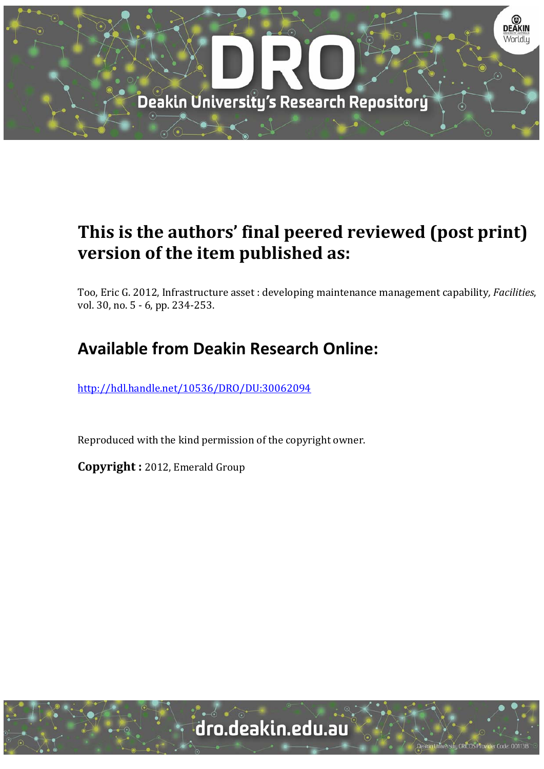

## **This is the authors' final peered reviewed (post print) version of the item published as:**

Too, Eric G. 2012, Infrastructure asset : developing maintenance management capability, *Facilities*, vol. 30, no. 5 - 6, pp. 234-253.

## **Available from Deakin Research Online:**

http://hdl.handle.net/10536/DRO/DU:30062094

Reproduced with the kind permission of the copyright owner.

**Copyright** : 2012, Emerald Group

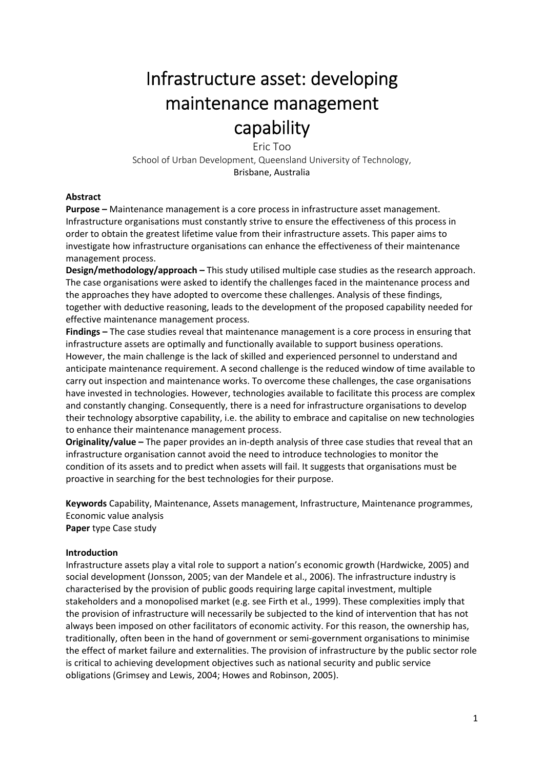# Infrastructure asset: developing maintenance management capability

Eric Too School of Urban Development, Queensland University of Technology, Brisbane, Australia

## **Abstract**

**Purpose –** Maintenance management is a core process in infrastructure asset management. Infrastructure organisations must constantly strive to ensure the effectiveness of this process in order to obtain the greatest lifetime value from their infrastructure assets. This paper aims to investigate how infrastructure organisations can enhance the effectiveness of their maintenance management process.

**Design/methodology/approach –** This study utilised multiple case studies as the research approach. The case organisations were asked to identify the challenges faced in the maintenance process and the approaches they have adopted to overcome these challenges. Analysis of these findings, together with deductive reasoning, leads to the development of the proposed capability needed for effective maintenance management process.

**Findings –** The case studies reveal that maintenance management is a core process in ensuring that infrastructure assets are optimally and functionally available to support business operations. However, the main challenge is the lack of skilled and experienced personnel to understand and anticipate maintenance requirement. A second challenge is the reduced window of time available to carry out inspection and maintenance works. To overcome these challenges, the case organisations have invested in technologies. However, technologies available to facilitate this process are complex and constantly changing. Consequently, there is a need for infrastructure organisations to develop their technology absorptive capability, i.e. the ability to embrace and capitalise on new technologies to enhance their maintenance management process.

**Originality/value –** The paper provides an in‐depth analysis of three case studies that reveal that an infrastructure organisation cannot avoid the need to introduce technologies to monitor the condition of its assets and to predict when assets will fail. It suggests that organisations must be proactive in searching for the best technologies for their purpose.

**Keywords** Capability, Maintenance, Assets management, Infrastructure, Maintenance programmes, Economic value analysis **Paper** type Case study

## **Introduction**

Infrastructure assets play a vital role to support a nation's economic growth (Hardwicke, 2005) and social development (Jonsson, 2005; van der Mandele et al., 2006). The infrastructure industry is characterised by the provision of public goods requiring large capital investment, multiple stakeholders and a monopolised market (e.g. see Firth et al., 1999). These complexities imply that the provision of infrastructure will necessarily be subjected to the kind of intervention that has not always been imposed on other facilitators of economic activity. For this reason, the ownership has, traditionally, often been in the hand of government or semi‐government organisations to minimise the effect of market failure and externalities. The provision of infrastructure by the public sector role is critical to achieving development objectives such as national security and public service obligations (Grimsey and Lewis, 2004; Howes and Robinson, 2005).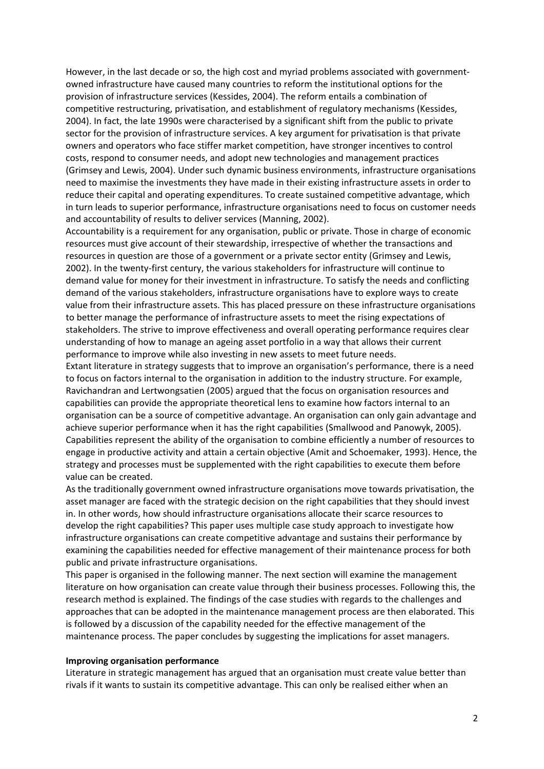However, in the last decade or so, the high cost and myriad problems associated with governmentowned infrastructure have caused many countries to reform the institutional options for the provision of infrastructure services (Kessides, 2004). The reform entails a combination of competitive restructuring, privatisation, and establishment of regulatory mechanisms (Kessides, 2004). In fact, the late 1990s were characterised by a significant shift from the public to private sector for the provision of infrastructure services. A key argument for privatisation is that private owners and operators who face stiffer market competition, have stronger incentives to control costs, respond to consumer needs, and adopt new technologies and management practices (Grimsey and Lewis, 2004). Under such dynamic business environments, infrastructure organisations need to maximise the investments they have made in their existing infrastructure assets in order to reduce their capital and operating expenditures. To create sustained competitive advantage, which in turn leads to superior performance, infrastructure organisations need to focus on customer needs and accountability of results to deliver services (Manning, 2002).

Accountability is a requirement for any organisation, public or private. Those in charge of economic resources must give account of their stewardship, irrespective of whether the transactions and resources in question are those of a government or a private sector entity (Grimsey and Lewis, 2002). In the twenty‐first century, the various stakeholders for infrastructure will continue to demand value for money for their investment in infrastructure. To satisfy the needs and conflicting demand of the various stakeholders, infrastructure organisations have to explore ways to create value from their infrastructure assets. This has placed pressure on these infrastructure organisations to better manage the performance of infrastructure assets to meet the rising expectations of stakeholders. The strive to improve effectiveness and overall operating performance requires clear understanding of how to manage an ageing asset portfolio in a way that allows their current performance to improve while also investing in new assets to meet future needs.

Extant literature in strategy suggests that to improve an organisation's performance, there is a need to focus on factors internal to the organisation in addition to the industry structure. For example, Ravichandran and Lertwongsatien (2005) argued that the focus on organisation resources and capabilities can provide the appropriate theoretical lens to examine how factors internal to an organisation can be a source of competitive advantage. An organisation can only gain advantage and achieve superior performance when it has the right capabilities (Smallwood and Panowyk, 2005). Capabilities represent the ability of the organisation to combine efficiently a number of resources to engage in productive activity and attain a certain objective (Amit and Schoemaker, 1993). Hence, the strategy and processes must be supplemented with the right capabilities to execute them before value can be created.

As the traditionally government owned infrastructure organisations move towards privatisation, the asset manager are faced with the strategic decision on the right capabilities that they should invest in. In other words, how should infrastructure organisations allocate their scarce resources to develop the right capabilities? This paper uses multiple case study approach to investigate how infrastructure organisations can create competitive advantage and sustains their performance by examining the capabilities needed for effective management of their maintenance process for both public and private infrastructure organisations.

This paper is organised in the following manner. The next section will examine the management literature on how organisation can create value through their business processes. Following this, the research method is explained. The findings of the case studies with regards to the challenges and approaches that can be adopted in the maintenance management process are then elaborated. This is followed by a discussion of the capability needed for the effective management of the maintenance process. The paper concludes by suggesting the implications for asset managers.

## **Improving organisation performance**

Literature in strategic management has argued that an organisation must create value better than rivals if it wants to sustain its competitive advantage. This can only be realised either when an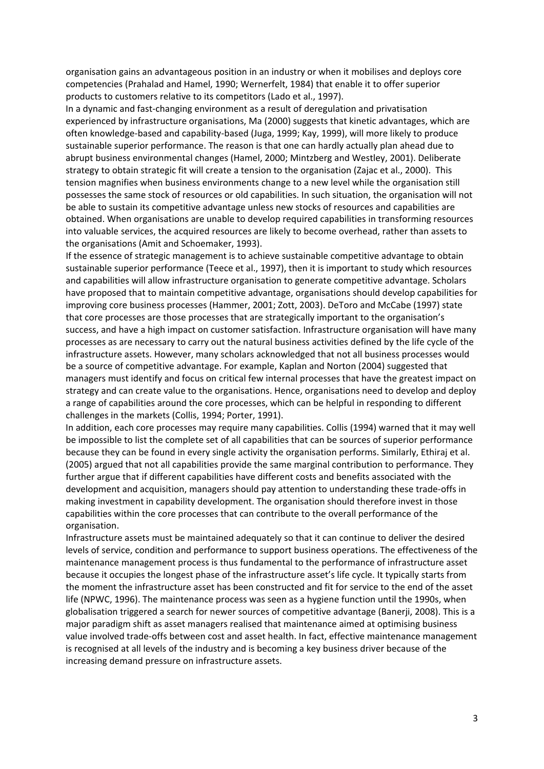organisation gains an advantageous position in an industry or when it mobilises and deploys core competencies (Prahalad and Hamel, 1990; Wernerfelt, 1984) that enable it to offer superior products to customers relative to its competitors (Lado et al., 1997).

In a dynamic and fast‐changing environment as a result of deregulation and privatisation experienced by infrastructure organisations, Ma (2000) suggests that kinetic advantages, which are often knowledge‐based and capability‐based (Juga, 1999; Kay, 1999), will more likely to produce sustainable superior performance. The reason is that one can hardly actually plan ahead due to abrupt business environmental changes (Hamel, 2000; Mintzberg and Westley, 2001). Deliberate strategy to obtain strategic fit will create a tension to the organisation (Zajac et al., 2000). This tension magnifies when business environments change to a new level while the organisation still possesses the same stock of resources or old capabilities. In such situation, the organisation will not be able to sustain its competitive advantage unless new stocks of resources and capabilities are obtained. When organisations are unable to develop required capabilities in transforming resources into valuable services, the acquired resources are likely to become overhead, rather than assets to the organisations (Amit and Schoemaker, 1993).

If the essence of strategic management is to achieve sustainable competitive advantage to obtain sustainable superior performance (Teece et al., 1997), then it is important to study which resources and capabilities will allow infrastructure organisation to generate competitive advantage. Scholars have proposed that to maintain competitive advantage, organisations should develop capabilities for improving core business processes (Hammer, 2001; Zott, 2003). DeToro and McCabe (1997) state that core processes are those processes that are strategically important to the organisation's success, and have a high impact on customer satisfaction. Infrastructure organisation will have many processes as are necessary to carry out the natural business activities defined by the life cycle of the infrastructure assets. However, many scholars acknowledged that not all business processes would be a source of competitive advantage. For example, Kaplan and Norton (2004) suggested that managers must identify and focus on critical few internal processes that have the greatest impact on strategy and can create value to the organisations. Hence, organisations need to develop and deploy a range of capabilities around the core processes, which can be helpful in responding to different challenges in the markets (Collis, 1994; Porter, 1991).

In addition, each core processes may require many capabilities. Collis (1994) warned that it may well be impossible to list the complete set of all capabilities that can be sources of superior performance because they can be found in every single activity the organisation performs. Similarly, Ethiraj et al. (2005) argued that not all capabilities provide the same marginal contribution to performance. They further argue that if different capabilities have different costs and benefits associated with the development and acquisition, managers should pay attention to understanding these trade‐offs in making investment in capability development. The organisation should therefore invest in those capabilities within the core processes that can contribute to the overall performance of the organisation.

Infrastructure assets must be maintained adequately so that it can continue to deliver the desired levels of service, condition and performance to support business operations. The effectiveness of the maintenance management process is thus fundamental to the performance of infrastructure asset because it occupies the longest phase of the infrastructure asset's life cycle. It typically starts from the moment the infrastructure asset has been constructed and fit for service to the end of the asset life (NPWC, 1996). The maintenance process was seen as a hygiene function until the 1990s, when globalisation triggered a search for newer sources of competitive advantage (Banerji, 2008). This is a major paradigm shift as asset managers realised that maintenance aimed at optimising business value involved trade‐offs between cost and asset health. In fact, effective maintenance management is recognised at all levels of the industry and is becoming a key business driver because of the increasing demand pressure on infrastructure assets.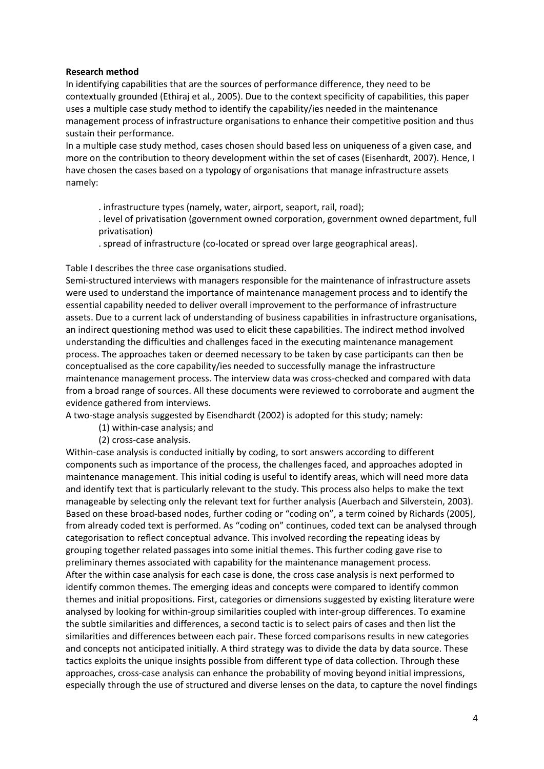## **Research method**

In identifying capabilities that are the sources of performance difference, they need to be contextually grounded (Ethiraj et al., 2005). Due to the context specificity of capabilities, this paper uses a multiple case study method to identify the capability/ies needed in the maintenance management process of infrastructure organisations to enhance their competitive position and thus sustain their performance.

In a multiple case study method, cases chosen should based less on uniqueness of a given case, and more on the contribution to theory development within the set of cases (Eisenhardt, 2007). Hence, I have chosen the cases based on a typology of organisations that manage infrastructure assets namely:

. infrastructure types (namely, water, airport, seaport, rail, road);

. level of privatisation (government owned corporation, government owned department, full privatisation)

. spread of infrastructure (co‐located or spread over large geographical areas).

Table I describes the three case organisations studied.

Semi‐structured interviews with managers responsible for the maintenance of infrastructure assets were used to understand the importance of maintenance management process and to identify the essential capability needed to deliver overall improvement to the performance of infrastructure assets. Due to a current lack of understanding of business capabilities in infrastructure organisations, an indirect questioning method was used to elicit these capabilities. The indirect method involved understanding the difficulties and challenges faced in the executing maintenance management process. The approaches taken or deemed necessary to be taken by case participants can then be conceptualised as the core capability/ies needed to successfully manage the infrastructure maintenance management process. The interview data was cross-checked and compared with data from a broad range of sources. All these documents were reviewed to corroborate and augment the evidence gathered from interviews.

A two‐stage analysis suggested by Eisendhardt (2002) is adopted for this study; namely:

(1) within‐case analysis; and

(2) cross‐case analysis.

Within-case analysis is conducted initially by coding, to sort answers according to different components such as importance of the process, the challenges faced, and approaches adopted in maintenance management. This initial coding is useful to identify areas, which will need more data and identify text that is particularly relevant to the study. This process also helps to make the text manageable by selecting only the relevant text for further analysis (Auerbach and Silverstein, 2003). Based on these broad‐based nodes, further coding or "coding on", a term coined by Richards (2005), from already coded text is performed. As "coding on" continues, coded text can be analysed through categorisation to reflect conceptual advance. This involved recording the repeating ideas by grouping together related passages into some initial themes. This further coding gave rise to preliminary themes associated with capability for the maintenance management process. After the within case analysis for each case is done, the cross case analysis is next performed to identify common themes. The emerging ideas and concepts were compared to identify common themes and initial propositions. First, categories or dimensions suggested by existing literature were analysed by looking for within-group similarities coupled with inter-group differences. To examine the subtle similarities and differences, a second tactic is to select pairs of cases and then list the similarities and differences between each pair. These forced comparisons results in new categories and concepts not anticipated initially. A third strategy was to divide the data by data source. These tactics exploits the unique insights possible from different type of data collection. Through these approaches, cross‐case analysis can enhance the probability of moving beyond initial impressions, especially through the use of structured and diverse lenses on the data, to capture the novel findings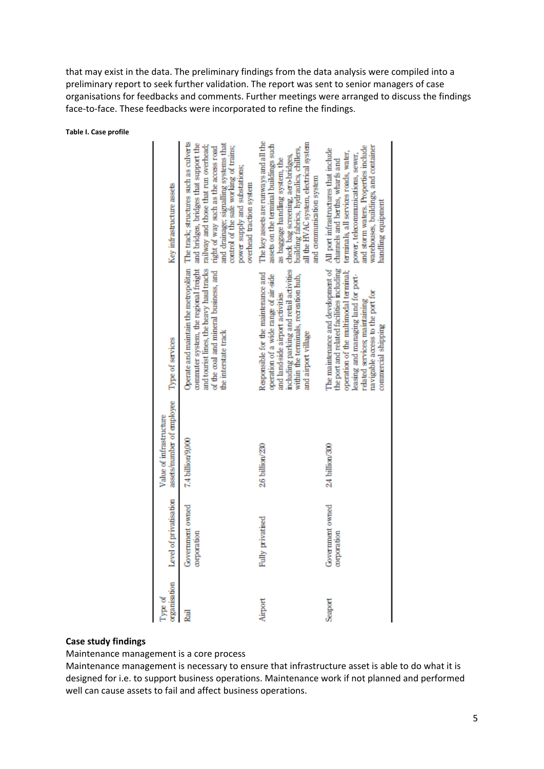that may exist in the data. The preliminary findings from the data analysis were compiled into a preliminary report to seek further validation. The report was sent to senior managers of case organisations for feedbacks and comments. Further meetings were arranged to discuss the findings face-to-face. These feedbacks were incorporated to refine the findings.

**Table I. Case profile**

| ganisation Level<br>ত<br>পু¤্ | of privatisation                | assets/number of employee Type of services<br>Value of infrastructure |                                                                                                                                                                                                                                                            | Key infrastructure assets                                                                                                                                                                                                                                                                                       |
|-------------------------------|---------------------------------|-----------------------------------------------------------------------|------------------------------------------------------------------------------------------------------------------------------------------------------------------------------------------------------------------------------------------------------------|-----------------------------------------------------------------------------------------------------------------------------------------------------------------------------------------------------------------------------------------------------------------------------------------------------------------|
| Rail                          | Government owned<br>corporation | 7.4 billion/9,000                                                     | Operate and maintain the metropolitan<br>commuter system, the regional freight<br>and tourist lines, the heavy haul tracks<br>of the coal and mineral business, and<br>the interstate track                                                                | The track; structures such as culverts<br>and bridges, bridges that support the<br>and drainage; signalling systems that<br>control of the safe working of trains;<br>railway and those that run overhead;<br>right of way such as the access road<br>power supply and substations;<br>overhead traction system |
| Airport                       | privatised<br>È                 | 2.6 billion/230                                                       | including parking and retail activities<br>Responsible for the maintenance and<br>operation of a wide range of air-side<br>within the terminals, recreation hub,<br>and land-side airport activities<br>and airport village                                | The key assets are runways and all the<br>all the HVAC system, electrical system<br>assets on the terminal buildings such<br>building fabrics, hydraulics, chillers,<br>check bag screening, acro-bridges,<br>as baggage handling system, the<br>and communication system                                       |
| Seaport                       | Government owned<br>corporation | 2.4 billion/300                                                       | The maintenance and development of<br>the port and related facilities including<br>operation of the multimodal terminal;<br>leasing and managing land for port-<br>navigable access to the port for<br>related services maintaining<br>commercial shipping | warehouses, buildings, and container<br>and storm waters. Properties include<br>All port infrastructures that include<br>terminals, all services roads, water,<br>power, telecommunications, sewer,<br>channels and berths, wharts and<br>handling equipment                                                    |

## **Case study findings**

Maintenance management is a core process

Maintenance management is necessary to ensure that infrastructure asset is able to do what it is designed for i.e. to support business operations. Maintenance work if not planned and performed well can cause assets to fail and affect business operations.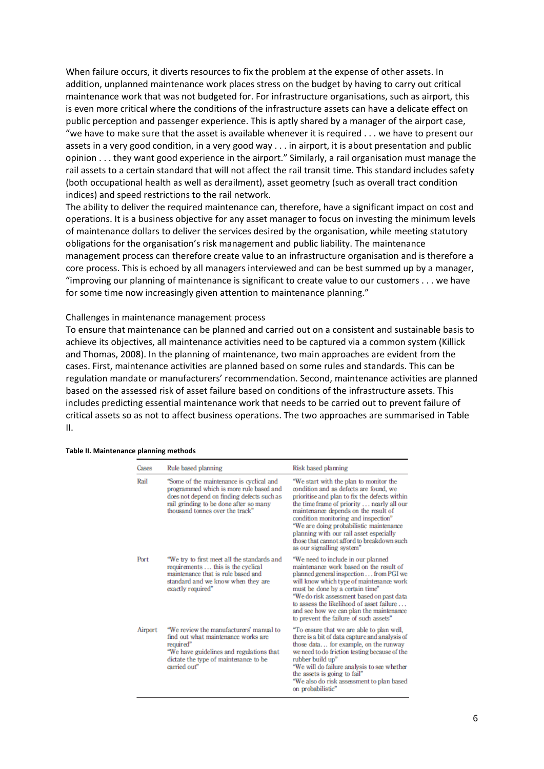When failure occurs, it diverts resources to fix the problem at the expense of other assets. In addition, unplanned maintenance work places stress on the budget by having to carry out critical maintenance work that was not budgeted for. For infrastructure organisations, such as airport, this is even more critical where the conditions of the infrastructure assets can have a delicate effect on public perception and passenger experience. This is aptly shared by a manager of the airport case, "we have to make sure that the asset is available whenever it is required . . . we have to present our assets in a very good condition, in a very good way . . . in airport, it is about presentation and public opinion . . . they want good experience in the airport." Similarly, a rail organisation must manage the rail assets to a certain standard that will not affect the rail transit time. This standard includes safety (both occupational health as well as derailment), asset geometry (such as overall tract condition indices) and speed restrictions to the rail network.

The ability to deliver the required maintenance can, therefore, have a significant impact on cost and operations. It is a business objective for any asset manager to focus on investing the minimum levels of maintenance dollars to deliver the services desired by the organisation, while meeting statutory obligations for the organisation's risk management and public liability. The maintenance management process can therefore create value to an infrastructure organisation and is therefore a core process. This is echoed by all managers interviewed and can be best summed up by a manager, "improving our planning of maintenance is significant to create value to our customers . . . we have for some time now increasingly given attention to maintenance planning."

## Challenges in maintenance management process

To ensure that maintenance can be planned and carried out on a consistent and sustainable basis to achieve its objectives, all maintenance activities need to be captured via a common system (Killick and Thomas, 2008). In the planning of maintenance, two main approaches are evident from the cases. First, maintenance activities are planned based on some rules and standards. This can be regulation mandate or manufacturers' recommendation. Second, maintenance activities are planned based on the assessed risk of asset failure based on conditions of the infrastructure assets. This includes predicting essential maintenance work that needs to be carried out to prevent failure of critical assets so as not to affect business operations. The two approaches are summarised in Table II.

| Cases   | Rule based planning                                                                                                                                                                                            | Risk based planning                                                                                                                                                                                                                                                                                                                                                                                                              |
|---------|----------------------------------------------------------------------------------------------------------------------------------------------------------------------------------------------------------------|----------------------------------------------------------------------------------------------------------------------------------------------------------------------------------------------------------------------------------------------------------------------------------------------------------------------------------------------------------------------------------------------------------------------------------|
| Rail    | "Some of the maintenance is cyclical and<br>programmed which is more rule based and<br>does not depend on finding defects such as<br>rail grinding to be done after so many<br>thousand tonnes over the track" | "We start with the plan to monitor the<br>condition and as defects are found, we<br>prioritise and plan to fix the defects within<br>the time frame of priority  nearly all our<br>maintenance depends on the result of<br>condition monitoring and inspection"<br>"We are doing probabilistic maintenance<br>planning with our rail asset especially<br>those that cannot afford to breakdown such<br>as our signalling system" |
| Port    | "We try to first meet all the standards and<br>requirements  this is the cyclical<br>maintenance that is rule based and<br>standard and we know when they are<br>exactly required"                             | "We need to include in our planned<br>maintenance work based on the result of<br>planned general inspection from PGI we<br>will know which type of maintenance work<br>must be done by a certain time"<br>"We do risk assessment based on past data<br>to assess the likelihood of asset failure<br>and see how we can plan the maintenance<br>to prevent the failure of such assets"                                            |
| Airport | "We review the manufacturers' manual to<br>find out what maintenance works are<br>required"<br>"We have guidelines and regulations that<br>dictate the type of maintenance to be<br>carried out"               | "To ensure that we are able to plan well,<br>there is a bit of data capture and analysis of<br>those data for example, on the runway<br>we need to do friction testing because of the<br>rubber build up"<br>"We will do failure analysis to see whether<br>the assets is going to fail"<br>"We also do risk assessment to plan based<br>on probabilistic"                                                                       |

**Table II. Maintenance planning methods**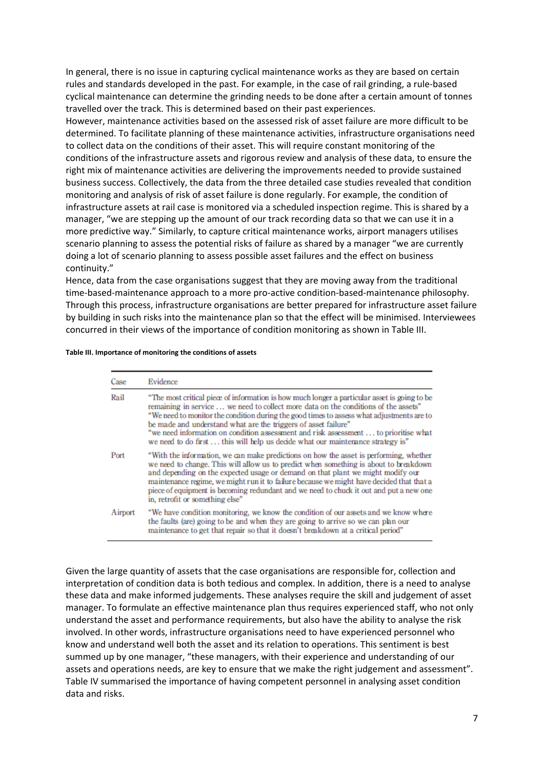In general, there is no issue in capturing cyclical maintenance works as they are based on certain rules and standards developed in the past. For example, in the case of rail grinding, a rule‐based cyclical maintenance can determine the grinding needs to be done after a certain amount of tonnes travelled over the track. This is determined based on their past experiences.

However, maintenance activities based on the assessed risk of asset failure are more difficult to be determined. To facilitate planning of these maintenance activities, infrastructure organisations need to collect data on the conditions of their asset. This will require constant monitoring of the conditions of the infrastructure assets and rigorous review and analysis of these data, to ensure the right mix of maintenance activities are delivering the improvements needed to provide sustained business success. Collectively, the data from the three detailed case studies revealed that condition monitoring and analysis of risk of asset failure is done regularly. For example, the condition of infrastructure assets at rail case is monitored via a scheduled inspection regime. This is shared by a manager, "we are stepping up the amount of our track recording data so that we can use it in a more predictive way." Similarly, to capture critical maintenance works, airport managers utilises scenario planning to assess the potential risks of failure as shared by a manager "we are currently doing a lot of scenario planning to assess possible asset failures and the effect on business continuity."

Hence, data from the case organisations suggest that they are moving away from the traditional time‐based‐maintenance approach to a more pro‐active condition‐based‐maintenance philosophy. Through this process, infrastructure organisations are better prepared for infrastructure asset failure by building in such risks into the maintenance plan so that the effect will be minimised. Interviewees concurred in their views of the importance of condition monitoring as shown in Table III.

#### **Table III. Importance of monitoring the conditions of assets**

| Case    | Evidence                                                                                                                                                                                                                                                                                                                                                                                                                                                                                                                      |
|---------|-------------------------------------------------------------------------------------------------------------------------------------------------------------------------------------------------------------------------------------------------------------------------------------------------------------------------------------------------------------------------------------------------------------------------------------------------------------------------------------------------------------------------------|
| Rail    | "The most critical piece of information is how much longer a particular asset is going to be<br>remaining in service  we need to collect more data on the conditions of the assets"<br>"We need to monitor the condition during the good times to assess what adjustments are to<br>be made and understand what are the triggers of asset failure"<br>"we need information on condition assessment and risk assessment  to prioritise what<br>we need to do first  this will help us decide what our mainterance strategy is" |
| Port    | "With the information, we can make predictions on how the asset is performing, whether<br>we need to change. This will allow us to predict when something is about to breakdown<br>and depending on the expected usage or demand on that plant we might modify our<br>maintenance regime, we might run it to failure because we might have decided that that a<br>piece of equipment is becoming redundant and we need to chuck it out and put a new one<br>in, retrofit or something else"                                   |
| Airport | "We have condition monitoring, we know the condition of our assets and we know where<br>the faults (are) going to be and when they are going to arrive so we can plan our<br>maintenance to get that repair so that it doesn't breakdown at a critical period"                                                                                                                                                                                                                                                                |

Given the large quantity of assets that the case organisations are responsible for, collection and interpretation of condition data is both tedious and complex. In addition, there is a need to analyse these data and make informed judgements. These analyses require the skill and judgement of asset manager. To formulate an effective maintenance plan thus requires experienced staff, who not only understand the asset and performance requirements, but also have the ability to analyse the risk involved. In other words, infrastructure organisations need to have experienced personnel who know and understand well both the asset and its relation to operations. This sentiment is best summed up by one manager, "these managers, with their experience and understanding of our assets and operations needs, are key to ensure that we make the right judgement and assessment". Table IV summarised the importance of having competent personnel in analysing asset condition data and risks.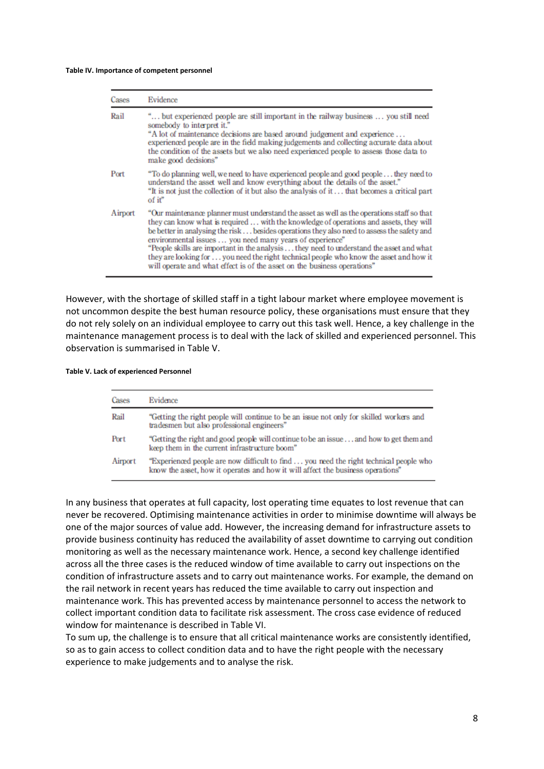#### **Table IV. Importance of competent personnel**

| Cases   | Evidence                                                                                                                                                                                                                                                                                                                                                                                                                                                                                                                                                                                                         |
|---------|------------------------------------------------------------------------------------------------------------------------------------------------------------------------------------------------------------------------------------------------------------------------------------------------------------------------------------------------------------------------------------------------------------------------------------------------------------------------------------------------------------------------------------------------------------------------------------------------------------------|
| Rail    | " but experienced people are still important in the railway business  you still need<br>somebody to interpret it."<br>"A lot of maintenance decisions are based around judgement and experience<br>experienced people are in the field making judgements and collecting accurate data about<br>the condition of the assets but we also need experienced people to assess those data to<br>make good decisions"                                                                                                                                                                                                   |
| Port    | "To do planning well, we need to have experienced people and good people they need to<br>understand the asset well and know everything about the details of the asset."<br>"It is not just the collection of it but also the analysis of it that becomes a critical part<br>of it"                                                                                                                                                                                                                                                                                                                               |
| Airport | "Our maintenance planner must understand the asset as well as the operations staff so that<br>they can know what is required  with the knowledge of operations and assets, they will<br>be better in analysing the risk besides operations they also need to assess the safety and<br>environmental issues  you need many years of experience"<br>"People skills are important in the analysis they need to understand the asset and what<br>they are looking for  you need the right technical people who know the asset and how it<br>will operate and what effect is of the asset on the business operations" |

However, with the shortage of skilled staff in a tight labour market where employee movement is not uncommon despite the best human resource policy, these organisations must ensure that they do not rely solely on an individual employee to carry out this task well. Hence, a key challenge in the maintenance management process is to deal with the lack of skilled and experienced personnel. This observation is summarised in Table V.

#### **Table V. Lack of experienced Personnel**

| Cases   | Evidence                                                                                                                                                                  |  |
|---------|---------------------------------------------------------------------------------------------------------------------------------------------------------------------------|--|
| Rail    | "Getting the right people will continue to be an issue not only for skilled workers and<br>tradesmen but also professional engineers"                                     |  |
| Port    | "Getting the right and good people will continue to be an issue  and how to get them and<br>keep them in the current infrastructure boom"                                 |  |
| Airport | "Experienced people are now difficult to find  you need the right technical people who<br>know the asset, how it operates and how it will affect the business operations" |  |

In any business that operates at full capacity, lost operating time equates to lost revenue that can never be recovered. Optimising maintenance activities in order to minimise downtime will always be one of the major sources of value add. However, the increasing demand for infrastructure assets to provide business continuity has reduced the availability of asset downtime to carrying out condition monitoring as well as the necessary maintenance work. Hence, a second key challenge identified across all the three cases is the reduced window of time available to carry out inspections on the condition of infrastructure assets and to carry out maintenance works. For example, the demand on the rail network in recent years has reduced the time available to carry out inspection and maintenance work. This has prevented access by maintenance personnel to access the network to collect important condition data to facilitate risk assessment. The cross case evidence of reduced window for maintenance is described in Table VI.

To sum up, the challenge is to ensure that all critical maintenance works are consistently identified, so as to gain access to collect condition data and to have the right people with the necessary experience to make judgements and to analyse the risk.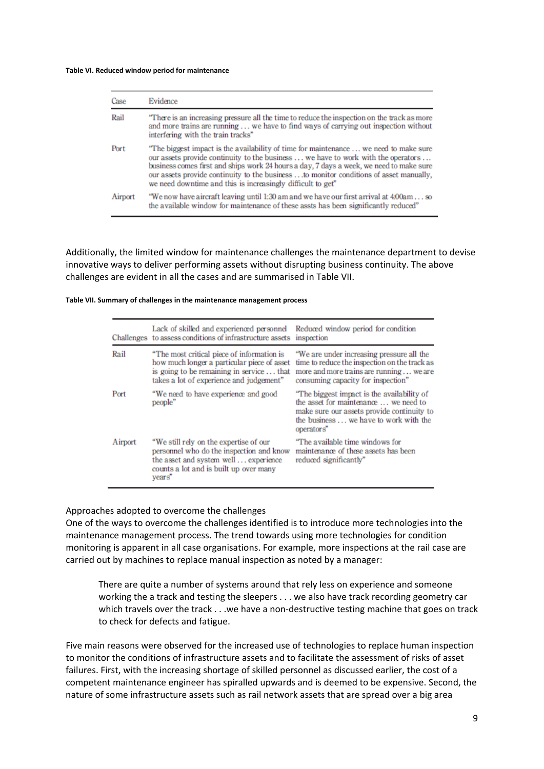#### **Table VI. Reduced window period for maintenance**

| Case    | Evidence                                                                                                                                                                                                                                                                                                                                                                                                                       |
|---------|--------------------------------------------------------------------------------------------------------------------------------------------------------------------------------------------------------------------------------------------------------------------------------------------------------------------------------------------------------------------------------------------------------------------------------|
| Rail    | "There is an increasing pressure all the time to reduce the inspection on the track as more<br>and more trains are running  we have to find ways of carrying out inspection without<br>interfering with the train tracks"                                                                                                                                                                                                      |
| Port    | "The biggest impact is the availability of time for maintenance  we need to make sure<br>our assets provide continuity to the business  we have to work with the operators<br>business comes first and ships work 24 hours a day, 7 days a week, we need to make sure<br>our assets provide continuity to the business to monitor conditions of asset manually,<br>we need downtime and this is increasingly difficult to get" |
| Airport | "We now have aircraft leaving until 1:30 am and we have our first arrival at $400$ am so<br>the available window for maintenance of these assts has been significantly reduced"                                                                                                                                                                                                                                                |

Additionally, the limited window for maintenance challenges the maintenance department to devise innovative ways to deliver performing assets without disrupting business continuity. The above challenges are evident in all the cases and are summarised in Table VII.

#### **Table VII. Summary of challenges in the maintenance management process**

|         | Lack of skilled and experienced personnel<br>Challenges to assess conditions of infrastructure assets                                                                              | Reduced window period for condition<br>inspection                                                                                                                                         |
|---------|------------------------------------------------------------------------------------------------------------------------------------------------------------------------------------|-------------------------------------------------------------------------------------------------------------------------------------------------------------------------------------------|
| Rail    | "The most critical piece of information is<br>how much longer a particular piece of asset<br>is going to be remaining in service  that<br>takes a lot of experience and judgement" | "We are under increasing pressure all the<br>time to reduce the inspection on the track as<br>more and more trains are running we are<br>consuming capacity for inspection"               |
| Port    | "We need to have experience and good<br>people"                                                                                                                                    | "The biggest impact is the availability of<br>the asset for maintenance  we need to<br>make sure our assets provide continuity to<br>the business  we have to work with the<br>operators" |
| Airport | "We still rely on the expertise of our<br>personnel who do the inspection and know<br>the asset and system well  experience<br>counts a lot and is built up over many<br>vears"    | "The available time windows for<br>maintenance of these assets has been<br>reduced significantly"                                                                                         |

## Approaches adopted to overcome the challenges

One of the ways to overcome the challenges identified is to introduce more technologies into the maintenance management process. The trend towards using more technologies for condition monitoring is apparent in all case organisations. For example, more inspections at the rail case are carried out by machines to replace manual inspection as noted by a manager:

There are quite a number of systems around that rely less on experience and someone working the a track and testing the sleepers . . . we also have track recording geometry car which travels over the track . . .we have a non-destructive testing machine that goes on track to check for defects and fatigue.

Five main reasons were observed for the increased use of technologies to replace human inspection to monitor the conditions of infrastructure assets and to facilitate the assessment of risks of asset failures. First, with the increasing shortage of skilled personnel as discussed earlier, the cost of a competent maintenance engineer has spiralled upwards and is deemed to be expensive. Second, the nature of some infrastructure assets such as rail network assets that are spread over a big area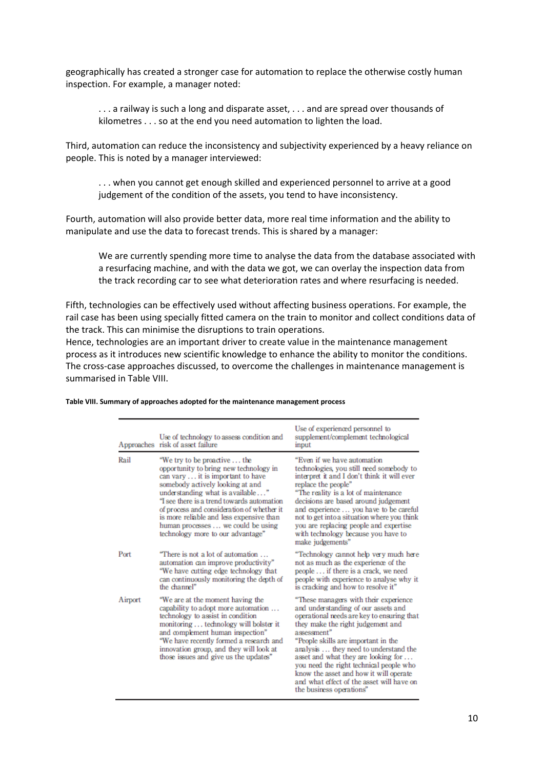geographically has created a stronger case for automation to replace the otherwise costly human inspection. For example, a manager noted:

. . . a railway is such a long and disparate asset, . . . and are spread over thousands of kilometres . . . so at the end you need automation to lighten the load.

Third, automation can reduce the inconsistency and subjectivity experienced by a heavy reliance on people. This is noted by a manager interviewed:

. . . when you cannot get enough skilled and experienced personnel to arrive at a good judgement of the condition of the assets, you tend to have inconsistency.

Fourth, automation will also provide better data, more real time information and the ability to manipulate and use the data to forecast trends. This is shared by a manager:

We are currently spending more time to analyse the data from the database associated with a resurfacing machine, and with the data we got, we can overlay the inspection data from the track recording car to see what deterioration rates and where resurfacing is needed.

Fifth, technologies can be effectively used without affecting business operations. For example, the rail case has been using specially fitted camera on the train to monitor and collect conditions data of the track. This can minimise the disruptions to train operations.

Hence, technologies are an important driver to create value in the maintenance management process as it introduces new scientific knowledge to enhance the ability to monitor the conditions. The cross-case approaches discussed, to overcome the challenges in maintenance management is summarised in Table VIII.

|         | Use of technology to assess condition and<br>Approaches risk of asset failure                                                                                                                                                                                                                                                                                                                          | Use of experienced personnel to<br>supplement/complement technological<br>input                                                                                                                                                                                                                                                                                                                                                                                     |
|---------|--------------------------------------------------------------------------------------------------------------------------------------------------------------------------------------------------------------------------------------------------------------------------------------------------------------------------------------------------------------------------------------------------------|---------------------------------------------------------------------------------------------------------------------------------------------------------------------------------------------------------------------------------------------------------------------------------------------------------------------------------------------------------------------------------------------------------------------------------------------------------------------|
| Rail    | "We try to be proactive  the<br>opportunity to bring new technology in<br>can vary  it is important to have<br>somebody actively looking at and<br>understanding what is available"<br>"I see there is a trend towards automation<br>of process and consideration of whether it<br>is more reliable and less expensive than<br>human processes  we could be using<br>technology more to our advantage" | "Even if we have automation<br>technologies, you still need somebody to<br>interpret it and I don't think it will ever<br>replace the people"<br>"The reality is a lot of maintenance<br>decisions are based around judgement<br>and experience  you have to be careful<br>not to get into a situation where you think<br>you are replacing people and expertise<br>with technology because you have to<br>make judgements"                                         |
| Port    | "There is not a lot of automation<br>automation can improve productivity"<br>"We have cutting edge technology that<br>can continuously monitoring the depth of<br>the channel"                                                                                                                                                                                                                         | "Technology cannot help very much here<br>not as much as the experience of the<br>people if there is a crack, we need<br>people with experience to analyse why it<br>is cracking and how to resolve it"                                                                                                                                                                                                                                                             |
| Airport | "We are at the moment having the<br>capability to adopt more automation<br>technology to assist in condition<br>monitoring  technology will bolster it<br>and complement human inspection"<br>"We have recently formed a research and<br>innovation group, and they will look at<br>those issues and give us the updates"                                                                              | "These managers with their experience<br>and understanding of our assets and<br>operational needs are key to ensuring that<br>they make the right judgement and<br>assessment"<br>"People skills are important in the<br>analysis  they need to understand the<br>asset and what they are looking for<br>you need the right technical people who<br>know the asset and how it will operate<br>and what effect of the asset will have on<br>the business operations" |

**Table VIII. Summary of approaches adopted for the maintenance management process**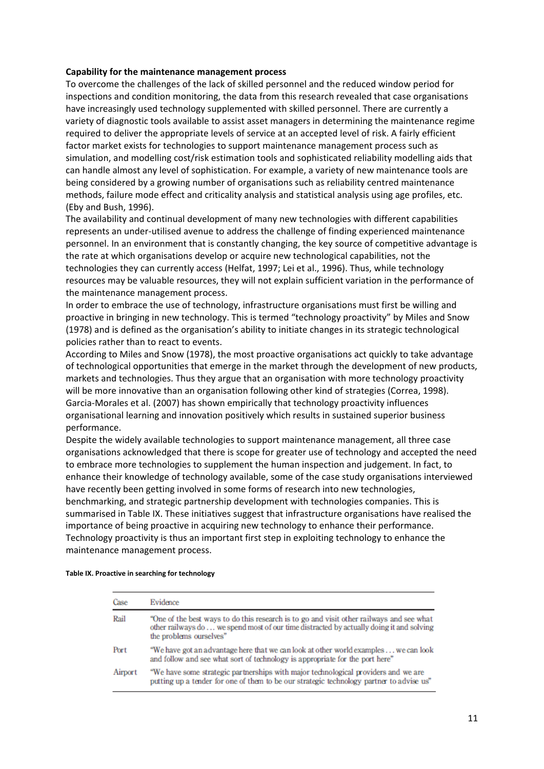## **Capability for the maintenance management process**

To overcome the challenges of the lack of skilled personnel and the reduced window period for inspections and condition monitoring, the data from this research revealed that case organisations have increasingly used technology supplemented with skilled personnel. There are currently a variety of diagnostic tools available to assist asset managers in determining the maintenance regime required to deliver the appropriate levels of service at an accepted level of risk. A fairly efficient factor market exists for technologies to support maintenance management process such as simulation, and modelling cost/risk estimation tools and sophisticated reliability modelling aids that can handle almost any level of sophistication. For example, a variety of new maintenance tools are being considered by a growing number of organisations such as reliability centred maintenance methods, failure mode effect and criticality analysis and statistical analysis using age profiles, etc. (Eby and Bush, 1996).

The availability and continual development of many new technologies with different capabilities represents an under‐utilised avenue to address the challenge of finding experienced maintenance personnel. In an environment that is constantly changing, the key source of competitive advantage is the rate at which organisations develop or acquire new technological capabilities, not the technologies they can currently access (Helfat, 1997; Lei et al., 1996). Thus, while technology resources may be valuable resources, they will not explain sufficient variation in the performance of the maintenance management process.

In order to embrace the use of technology, infrastructure organisations must first be willing and proactive in bringing in new technology. This is termed "technology proactivity" by Miles and Snow (1978) and is defined as the organisation's ability to initiate changes in its strategic technological policies rather than to react to events.

According to Miles and Snow (1978), the most proactive organisations act quickly to take advantage of technological opportunities that emerge in the market through the development of new products, markets and technologies. Thus they argue that an organisation with more technology proactivity will be more innovative than an organisation following other kind of strategies (Correa, 1998). Garcia‐Morales et al. (2007) has shown empirically that technology proactivity influences organisational learning and innovation positively which results in sustained superior business performance.

Despite the widely available technologies to support maintenance management, all three case organisations acknowledged that there is scope for greater use of technology and accepted the need to embrace more technologies to supplement the human inspection and judgement. In fact, to enhance their knowledge of technology available, some of the case study organisations interviewed have recently been getting involved in some forms of research into new technologies, benchmarking, and strategic partnership development with technologies companies. This is summarised in Table IX. These initiatives suggest that infrastructure organisations have realised the importance of being proactive in acquiring new technology to enhance their performance. Technology proactivity is thus an important first step in exploiting technology to enhance the maintenance management process.

| Case    | Evidence                                                                                                                                                                                                        |
|---------|-----------------------------------------------------------------------------------------------------------------------------------------------------------------------------------------------------------------|
| Rail    | "One of the best ways to do this research is to go and visit other railways and see what<br>other railways do  we spend most of our time distracted by actually doing it and solving<br>the problems ourselves" |
| Port    | "We have got an advantage here that we can look at other world examples we can look<br>and follow and see what sort of technology is appropriate for the port here"                                             |
| Airport | "We have some strategic partnerships with major technological providers and we are<br>putting up a tender for one of them to be our strategic technology partner to advise us"                                  |

#### **Table IX. Proactive in searching for technology**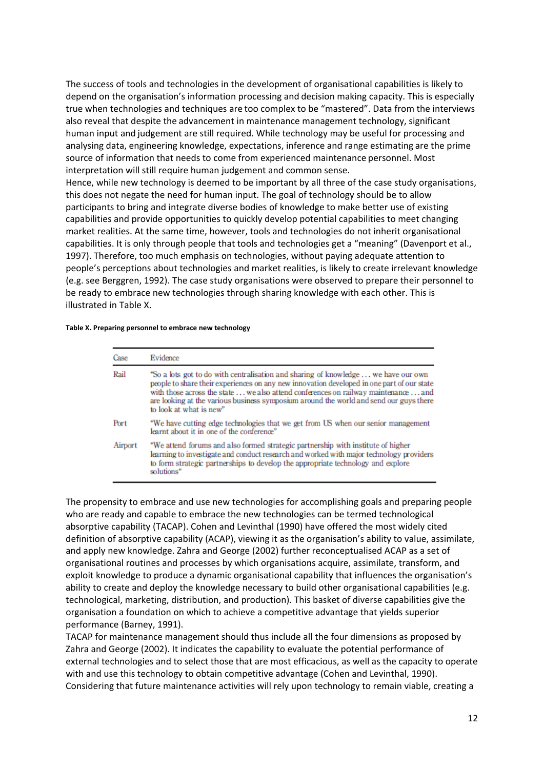The success of tools and technologies in the development of organisational capabilities is likely to depend on the organisation's information processing and decision making capacity. This is especially true when technologies and techniques are too complex to be "mastered". Data from the interviews also reveal that despite the advancement in maintenance management technology, significant human input and judgement are still required. While technology may be useful for processing and analysing data, engineering knowledge, expectations, inference and range estimating are the prime source of information that needs to come from experienced maintenance personnel. Most interpretation will still require human judgement and common sense.

Hence, while new technology is deemed to be important by all three of the case study organisations, this does not negate the need for human input. The goal of technology should be to allow participants to bring and integrate diverse bodies of knowledge to make better use of existing capabilities and provide opportunities to quickly develop potential capabilities to meet changing market realities. At the same time, however, tools and technologies do not inherit organisational capabilities. It is only through people that tools and technologies get a "meaning" (Davenport et al., 1997). Therefore, too much emphasis on technologies, without paying adequate attention to people's perceptions about technologies and market realities, is likely to create irrelevant knowledge (e.g. see Berggren, 1992). The case study organisations were observed to prepare their personnel to be ready to embrace new technologies through sharing knowledge with each other. This is illustrated in Table X.

#### **Table X. Preparing personnel to embrace new technology**

| Case    | Evidence                                                                                                                                                                                                                                                                                                                                                                                    |
|---------|---------------------------------------------------------------------------------------------------------------------------------------------------------------------------------------------------------------------------------------------------------------------------------------------------------------------------------------------------------------------------------------------|
| Rail    | "So a lots got to do with centralisation and sharing of knowledge we have our own<br>people to share their experiences on any new innovation developed in one part of our state<br>with those across the state  we also attend conferences on railway maintenance  and<br>are looking at the various business symposium around the world and send our guys there<br>to look at what is new" |
| Port    | "We have cutting edge technologies that we get from US when our senior management<br>learnt about it in one of the conference"                                                                                                                                                                                                                                                              |
| Airport | "We attend forums and also formed strategic partnership with institute of higher<br>learning to investigate and conduct research and worked with major technology providers<br>to form strategic partnerships to develop the appropriate technology and explore<br>solutions"                                                                                                               |

The propensity to embrace and use new technologies for accomplishing goals and preparing people who are ready and capable to embrace the new technologies can be termed technological absorptive capability (TACAP). Cohen and Levinthal (1990) have offered the most widely cited definition of absorptive capability (ACAP), viewing it as the organisation's ability to value, assimilate, and apply new knowledge. Zahra and George (2002) further reconceptualised ACAP as a set of organisational routines and processes by which organisations acquire, assimilate, transform, and exploit knowledge to produce a dynamic organisational capability that influences the organisation's ability to create and deploy the knowledge necessary to build other organisational capabilities (e.g. technological, marketing, distribution, and production). This basket of diverse capabilities give the organisation a foundation on which to achieve a competitive advantage that yields superior performance (Barney, 1991).

TACAP for maintenance management should thus include all the four dimensions as proposed by Zahra and George (2002). It indicates the capability to evaluate the potential performance of external technologies and to select those that are most efficacious, as well as the capacity to operate with and use this technology to obtain competitive advantage (Cohen and Levinthal, 1990). Considering that future maintenance activities will rely upon technology to remain viable, creating a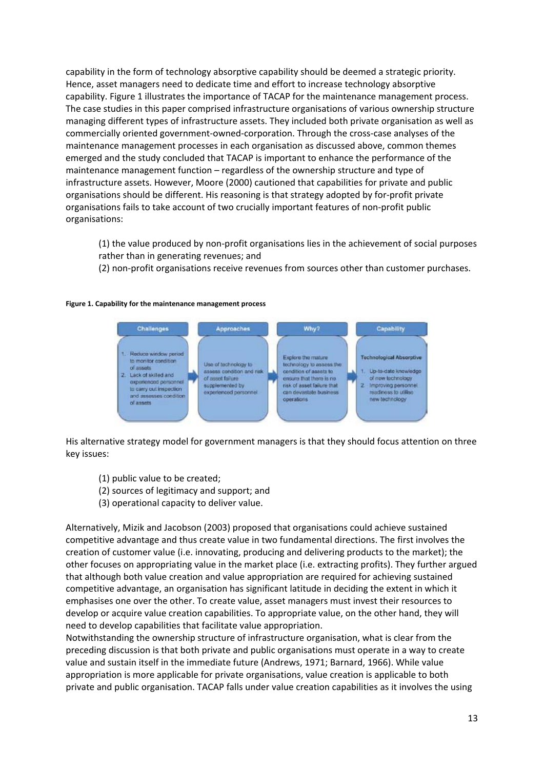capability in the form of technology absorptive capability should be deemed a strategic priority. Hence, asset managers need to dedicate time and effort to increase technology absorptive capability. Figure 1 illustrates the importance of TACAP for the maintenance management process. The case studies in this paper comprised infrastructure organisations of various ownership structure managing different types of infrastructure assets. They included both private organisation as well as commercially oriented government‐owned‐corporation. Through the cross‐case analyses of the maintenance management processes in each organisation as discussed above, common themes emerged and the study concluded that TACAP is important to enhance the performance of the maintenance management function – regardless of the ownership structure and type of infrastructure assets. However, Moore (2000) cautioned that capabilities for private and public organisations should be different. His reasoning is that strategy adopted by for‐profit private organisations fails to take account of two crucially important features of non‐profit public organisations:

- (1) the value produced by non‐profit organisations lies in the achievement of social purposes
- rather than in generating revenues; and
- (2) non‐profit organisations receive revenues from sources other than customer purchases.

## **Figure 1. Capability for the maintenance management process**



His alternative strategy model for government managers is that they should focus attention on three key issues:

- (1) public value to be created;
- (2) sources of legitimacy and support; and
- (3) operational capacity to deliver value.

Alternatively, Mizik and Jacobson (2003) proposed that organisations could achieve sustained competitive advantage and thus create value in two fundamental directions. The first involves the creation of customer value (i.e. innovating, producing and delivering products to the market); the other focuses on appropriating value in the market place (i.e. extracting profits). They further argued that although both value creation and value appropriation are required for achieving sustained competitive advantage, an organisation has significant latitude in deciding the extent in which it emphasises one over the other. To create value, asset managers must invest their resources to develop or acquire value creation capabilities. To appropriate value, on the other hand, they will need to develop capabilities that facilitate value appropriation.

Notwithstanding the ownership structure of infrastructure organisation, what is clear from the preceding discussion is that both private and public organisations must operate in a way to create value and sustain itself in the immediate future (Andrews, 1971; Barnard, 1966). While value appropriation is more applicable for private organisations, value creation is applicable to both private and public organisation. TACAP falls under value creation capabilities as it involves the using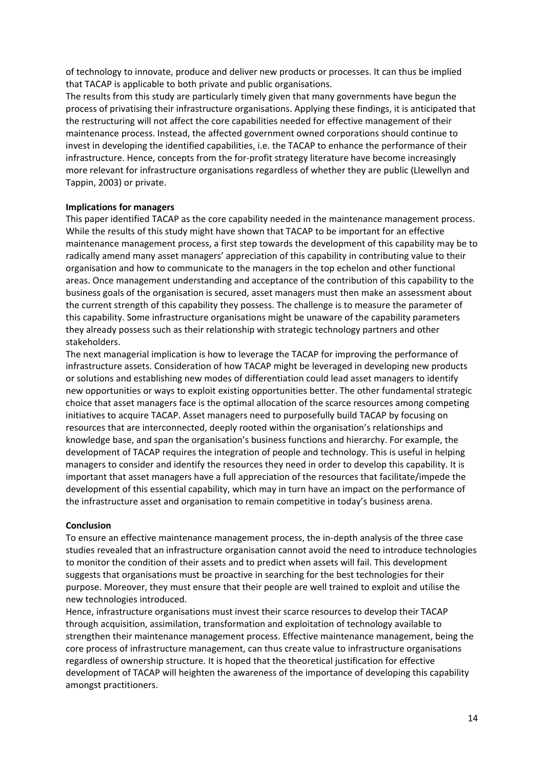of technology to innovate, produce and deliver new products or processes. It can thus be implied that TACAP is applicable to both private and public organisations.

The results from this study are particularly timely given that many governments have begun the process of privatising their infrastructure organisations. Applying these findings, it is anticipated that the restructuring will not affect the core capabilities needed for effective management of their maintenance process. Instead, the affected government owned corporations should continue to invest in developing the identified capabilities, i.e. the TACAP to enhance the performance of their infrastructure. Hence, concepts from the for-profit strategy literature have become increasingly more relevant for infrastructure organisations regardless of whether they are public (Llewellyn and Tappin, 2003) or private.

## **Implications for managers**

This paper identified TACAP as the core capability needed in the maintenance management process. While the results of this study might have shown that TACAP to be important for an effective maintenance management process, a first step towards the development of this capability may be to radically amend many asset managers' appreciation of this capability in contributing value to their organisation and how to communicate to the managers in the top echelon and other functional areas. Once management understanding and acceptance of the contribution of this capability to the business goals of the organisation is secured, asset managers must then make an assessment about the current strength of this capability they possess. The challenge is to measure the parameter of this capability. Some infrastructure organisations might be unaware of the capability parameters they already possess such as their relationship with strategic technology partners and other stakeholders.

The next managerial implication is how to leverage the TACAP for improving the performance of infrastructure assets. Consideration of how TACAP might be leveraged in developing new products or solutions and establishing new modes of differentiation could lead asset managers to identify new opportunities or ways to exploit existing opportunities better. The other fundamental strategic choice that asset managers face is the optimal allocation of the scarce resources among competing initiatives to acquire TACAP. Asset managers need to purposefully build TACAP by focusing on resources that are interconnected, deeply rooted within the organisation's relationships and knowledge base, and span the organisation's business functions and hierarchy. For example, the development of TACAP requires the integration of people and technology. This is useful in helping managers to consider and identify the resources they need in order to develop this capability. It is important that asset managers have a full appreciation of the resources that facilitate/impede the development of this essential capability, which may in turn have an impact on the performance of the infrastructure asset and organisation to remain competitive in today's business arena.

## **Conclusion**

To ensure an effective maintenance management process, the in‐depth analysis of the three case studies revealed that an infrastructure organisation cannot avoid the need to introduce technologies to monitor the condition of their assets and to predict when assets will fail. This development suggests that organisations must be proactive in searching for the best technologies for their purpose. Moreover, they must ensure that their people are well trained to exploit and utilise the new technologies introduced.

Hence, infrastructure organisations must invest their scarce resources to develop their TACAP through acquisition, assimilation, transformation and exploitation of technology available to strengthen their maintenance management process. Effective maintenance management, being the core process of infrastructure management, can thus create value to infrastructure organisations regardless of ownership structure. It is hoped that the theoretical justification for effective development of TACAP will heighten the awareness of the importance of developing this capability amongst practitioners.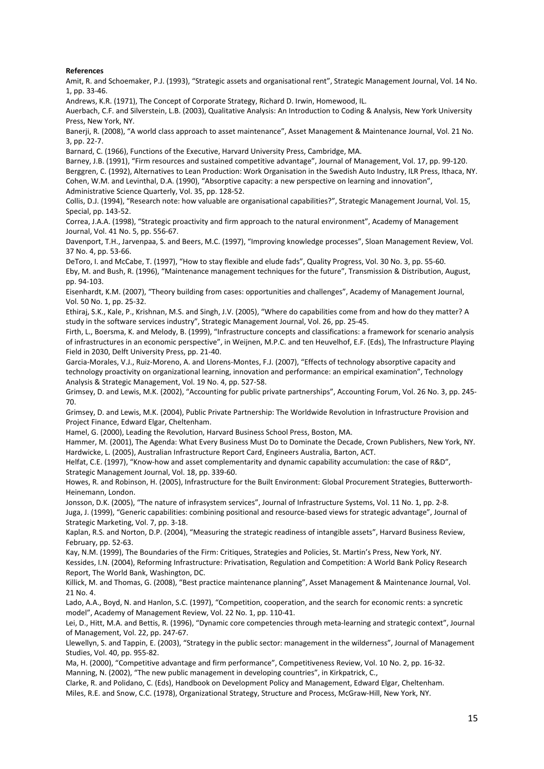#### **References**

Amit, R. and Schoemaker, P.J. (1993), "Strategic assets and organisational rent", Strategic Management Journal, Vol. 14 No. 1, pp. 33‐46.

Andrews, K.R. (1971), The Concept of Corporate Strategy, Richard D. Irwin, Homewood, IL.

Auerbach, C.F. and Silverstein, L.B. (2003), Qualitative Analysis: An Introduction to Coding & Analysis, New York University Press, New York, NY.

Banerji, R. (2008), "A world class approach to asset maintenance", Asset Management & Maintenance Journal, Vol. 21 No. 3, pp. 22‐7.

Barnard, C. (1966), Functions of the Executive, Harvard University Press, Cambridge, MA.

Barney, J.B. (1991), "Firm resources and sustained competitive advantage", Journal of Management, Vol. 17, pp. 99‐120. Berggren, C. (1992), Alternatives to Lean Production: Work Organisation in the Swedish Auto Industry, ILR Press, Ithaca, NY. Cohen, W.M. and Levinthal, D.A. (1990), "Absorptive capacity: a new perspective on learning and innovation", Administrative Science Quarterly, Vol. 35, pp. 128‐52.

Collis, D.J. (1994), "Research note: how valuable are organisational capabilities?", Strategic Management Journal, Vol. 15, Special, pp. 143‐52.

Correa, J.A.A. (1998), "Strategic proactivity and firm approach to the natural environment", Academy of Management Journal, Vol. 41 No. 5, pp. 556‐67.

Davenport, T.H., Jarvenpaa, S. and Beers, M.C. (1997), "Improving knowledge processes", Sloan Management Review, Vol. 37 No. 4, pp. 53‐66.

DeToro, I. and McCabe, T. (1997), "How to stay flexible and elude fads", Quality Progress, Vol. 30 No. 3, pp. 55‐60. Eby, M. and Bush, R. (1996), "Maintenance management techniques for the future", Transmission & Distribution, August, pp. 94‐103.

Eisenhardt, K.M. (2007), "Theory building from cases: opportunities and challenges", Academy of Management Journal, Vol. 50 No. 1, pp. 25‐32.

Ethiraj, S.K., Kale, P., Krishnan, M.S. and Singh, J.V. (2005), "Where do capabilities come from and how do they matter? A study in the software services industry", Strategic Management Journal, Vol. 26, pp. 25‐45.

Firth, L., Boersma, K. and Melody, B. (1999), "Infrastructure concepts and classifications: a framework for scenario analysis of infrastructures in an economic perspective", in Weijnen, M.P.C. and ten Heuvelhof, E.F. (Eds), The Infrastructure Playing Field in 2030, Delft University Press, pp. 21‐40.

Garcia‐Morales, V.J., Ruiz‐Moreno, A. and Llorens‐Montes, F.J. (2007), "Effects of technology absorptive capacity and technology proactivity on organizational learning, innovation and performance: an empirical examination", Technology Analysis & Strategic Management, Vol. 19 No. 4, pp. 527‐58.

Grimsey, D. and Lewis, M.K. (2002), "Accounting for public private partnerships", Accounting Forum, Vol. 26 No. 3, pp. 245‐ 70.

Grimsey, D. and Lewis, M.K. (2004), Public Private Partnership: The Worldwide Revolution in Infrastructure Provision and Project Finance, Edward Elgar, Cheltenham.

Hamel, G. (2000), Leading the Revolution, Harvard Business School Press, Boston, MA.

Hammer, M. (2001), The Agenda: What Every Business Must Do to Dominate the Decade, Crown Publishers, New York, NY. Hardwicke, L. (2005), Australian Infrastructure Report Card, Engineers Australia, Barton, ACT.

Helfat, C.E. (1997), "Know-how and asset complementarity and dynamic capability accumulation: the case of R&D", Strategic Management Journal, Vol. 18, pp. 339‐60.

Howes, R. and Robinson, H. (2005), Infrastructure for the Built Environment: Global Procurement Strategies, Butterworth‐ Heinemann, London.

Jonsson, D.K. (2005), "The nature of infrasystem services", Journal of Infrastructure Systems, Vol. 11 No. 1, pp. 2‐8. Juga, J. (1999), "Generic capabilities: combining positional and resource‐based views for strategic advantage", Journal of Strategic Marketing, Vol. 7, pp. 3‐18.

Kaplan, R.S. and Norton, D.P. (2004), "Measuring the strategic readiness of intangible assets", Harvard Business Review, February, pp. 52‐63.

Kay, N.M. (1999), The Boundaries of the Firm: Critiques, Strategies and Policies, St. Martin's Press, New York, NY. Kessides, I.N. (2004), Reforming Infrastructure: Privatisation, Regulation and Competition: A World Bank Policy Research Report, The World Bank, Washington, DC.

Killick, M. and Thomas, G. (2008), "Best practice maintenance planning", Asset Management & Maintenance Journal, Vol. 21 No. 4.

Lado, A.A., Boyd, N. and Hanlon, S.C. (1997), "Competition, cooperation, and the search for economic rents: a syncretic model", Academy of Management Review, Vol. 22 No. 1, pp. 110‐41.

Lei, D., Hitt, M.A. and Bettis, R. (1996), "Dynamic core competencies through meta‐learning and strategic context", Journal of Management, Vol. 22, pp. 247‐67.

Llewellyn, S. and Tappin, E. (2003), "Strategy in the public sector: management in the wilderness", Journal of Management Studies, Vol. 40, pp. 955‐82.

Ma, H. (2000), "Competitive advantage and firm performance", Competitiveness Review, Vol. 10 No. 2, pp. 16‐32. Manning, N. (2002), "The new public management in developing countries", in Kirkpatrick, C.,

Clarke, R. and Polidano, C. (Eds), Handbook on Development Policy and Management, Edward Elgar, Cheltenham. Miles, R.E. and Snow, C.C. (1978), Organizational Strategy, Structure and Process, McGraw‐Hill, New York, NY.